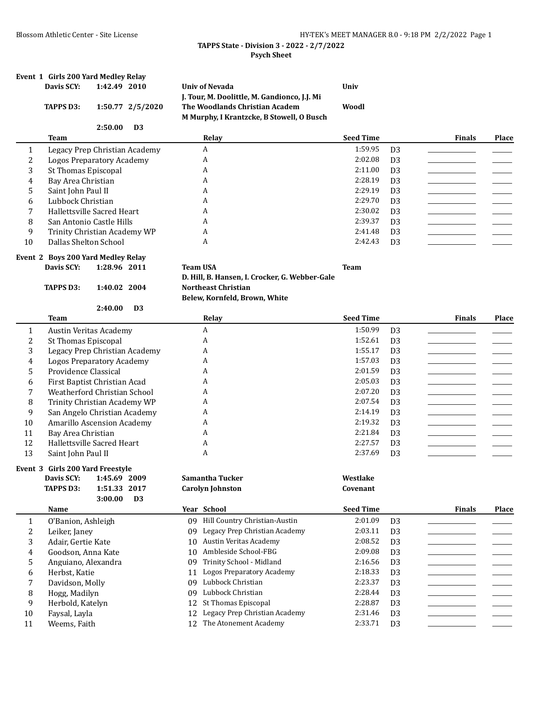# Blossom Athletic Center - Site License **HY-TEK's MEET MANAGER 8.0 - 9:18 PM 2/2/2022** Page 1

# **TAPPS State - Division 3 - 2022 - 2/7/2022 Psych Sheet**

|              | Event 1 Girls 200 Yard Medley Relay |              |                  |                 |                                                                             |                  |                |               |       |
|--------------|-------------------------------------|--------------|------------------|-----------------|-----------------------------------------------------------------------------|------------------|----------------|---------------|-------|
|              | Davis SCY:                          | 1:42.49 2010 |                  |                 | <b>Univ of Nevada</b><br>J. Tour, M. Doolittle, M. Gandionco, J.J. Mi       | Univ             |                |               |       |
|              | TAPPS D3:                           |              | 1:50.77 2/5/2020 |                 | The Woodlands Christian Academ<br>M Murphy, I Krantzcke, B Stowell, O Busch | Woodl            |                |               |       |
|              |                                     | 2:50.00      | D <sub>3</sub>   |                 |                                                                             |                  |                |               |       |
|              | <b>Team</b>                         |              |                  |                 | Relay                                                                       | <b>Seed Time</b> |                | <b>Finals</b> | Place |
| 1            | Legacy Prep Christian Academy       |              |                  |                 | A                                                                           | 1:59.95          | D <sub>3</sub> |               |       |
| 2            | <b>Logos Preparatory Academy</b>    |              |                  |                 | A                                                                           | 2:02.08          | D <sub>3</sub> |               |       |
| 3            | <b>St Thomas Episcopal</b>          |              |                  |                 | A                                                                           | 2:11.00          | D <sub>3</sub> |               |       |
| 4            | Bay Area Christian                  |              |                  |                 | A                                                                           | 2:28.19          | D <sub>3</sub> |               |       |
| 5            | Saint John Paul II                  |              |                  |                 | A                                                                           | 2:29.19          | D <sub>3</sub> |               |       |
| 6            | Lubbock Christian                   |              |                  |                 | A                                                                           | 2:29.70          | D <sub>3</sub> |               |       |
| 7            | Hallettsville Sacred Heart          |              |                  |                 | A                                                                           | 2:30.02          | D <sub>3</sub> |               |       |
| 8            | San Antonio Castle Hills            |              |                  |                 | A                                                                           | 2:39.37          | D <sub>3</sub> |               |       |
| 9            | Trinity Christian Academy WP        |              |                  |                 | A                                                                           | 2:41.48          | D <sub>3</sub> |               |       |
| 10           | Dallas Shelton School               |              |                  |                 | A                                                                           | 2:42.43          | D <sub>3</sub> |               |       |
|              | Event 2 Boys 200 Yard Medley Relay  |              |                  |                 |                                                                             |                  |                |               |       |
|              | Davis SCY:                          | 1:28.96 2011 |                  | <b>Team USA</b> |                                                                             | <b>Team</b>      |                |               |       |
|              |                                     |              |                  |                 | D. Hill, B. Hansen, I. Crocker, G. Webber-Gale                              |                  |                |               |       |
|              | <b>TAPPS D3:</b>                    | 1:40.02 2004 |                  |                 | <b>Northeast Christian</b>                                                  |                  |                |               |       |
|              |                                     |              |                  |                 | Belew, Kornfeld, Brown, White                                               |                  |                |               |       |
|              |                                     | 2:40.00      | D <sub>3</sub>   |                 |                                                                             |                  |                |               |       |
|              | <b>Team</b>                         |              |                  |                 | Relay                                                                       | <b>Seed Time</b> |                | <b>Finals</b> | Place |
| $\mathbf{1}$ | Austin Veritas Academy              |              |                  |                 | A                                                                           | 1:50.99          | D <sub>3</sub> |               |       |
| 2            | <b>St Thomas Episcopal</b>          |              |                  |                 | A                                                                           | 1:52.61          | D <sub>3</sub> |               |       |
| 3            | Legacy Prep Christian Academy       |              |                  |                 | A                                                                           | 1:55.17          | D <sub>3</sub> |               |       |
| 4            | <b>Logos Preparatory Academy</b>    |              |                  |                 | A                                                                           | 1:57.03          | D <sub>3</sub> |               |       |
| 5            | Providence Classical                |              |                  |                 | A                                                                           | 2:01.59          | D <sub>3</sub> |               |       |
| 6            | First Baptist Christian Acad        |              |                  |                 | A                                                                           | 2:05.03          | D <sub>3</sub> |               |       |
| 7            | Weatherford Christian School        |              |                  |                 | A                                                                           | 2:07.20          | D <sub>3</sub> |               |       |
| 8            | Trinity Christian Academy WP        |              |                  |                 | A                                                                           | 2:07.54          | D <sub>3</sub> |               |       |
| 9            | San Angelo Christian Academy        |              |                  |                 | A                                                                           | 2:14.19          | D <sub>3</sub> |               |       |
| 10           | Amarillo Ascension Academy          |              |                  |                 | A                                                                           | 2:19.32          | D <sub>3</sub> |               |       |
| 11           | Bay Area Christian                  |              |                  |                 | A                                                                           | 2:21.84          | D <sub>3</sub> |               |       |
| 12           | Hallettsville Sacred Heart          |              |                  |                 | A                                                                           | 2:27.57          | D <sub>3</sub> |               |       |
| 13           | Saint John Paul II                  |              |                  |                 | A                                                                           | 2:37.69          | D <sub>3</sub> |               |       |
|              | Event 3 Girls 200 Yard Freestyle    |              |                  |                 |                                                                             |                  |                |               |       |
|              | Davis SCY:                          | 1:45.69 2009 |                  |                 | Samantha Tucker                                                             | Westlake         |                |               |       |
|              | <b>TAPPS D3:</b>                    | 1:51.33 2017 |                  |                 | <b>Carolyn Johnston</b>                                                     | Covenant         |                |               |       |
|              |                                     | 3:00.00      | D <sub>3</sub>   |                 |                                                                             |                  |                |               |       |
|              | Name                                |              |                  |                 | Year School                                                                 | <b>Seed Time</b> |                | <b>Finals</b> | Place |
| 1            | O'Banion, Ashleigh                  |              |                  |                 | 09 Hill Country Christian-Austin                                            | 2:01.09          | D <sub>3</sub> |               |       |
| 2            | Leiker, Janey                       |              |                  | 09.             | Legacy Prep Christian Academy                                               | 2:03.11          | D <sub>3</sub> |               |       |
| 3            | Adair, Gertie Kate                  |              |                  | 10              | <b>Austin Veritas Academy</b>                                               | 2:08.52          | D <sub>3</sub> |               |       |
| 4            | Goodson, Anna Kate                  |              |                  | 10              | Ambleside School-FBG                                                        | 2:09.08          | D <sub>3</sub> |               |       |
| 5            | Anguiano, Alexandra                 |              |                  | 09              | Trinity School - Midland                                                    | 2:16.56          | D <sub>3</sub> |               |       |
| 6            | Herbst, Katie                       |              |                  | 11              | <b>Logos Preparatory Academy</b>                                            | 2:18.33          | D <sub>3</sub> |               |       |
| 7            | Davidson, Molly                     |              |                  | 09              | Lubbock Christian                                                           | 2:23.37          | D <sub>3</sub> |               |       |
| 8            | Hogg, Madilyn                       |              |                  | 09              | Lubbock Christian                                                           | 2:28.44          | D <sub>3</sub> |               |       |
| 9            | Herbold, Katelyn                    |              |                  | 12              | St Thomas Episcopal                                                         | 2:28.87          | D <sub>3</sub> |               |       |
| $10\,$       | Faysal, Layla                       |              |                  | 12              | Legacy Prep Christian Academy                                               | 2:31.46          | D <sub>3</sub> |               |       |
| 11           | Weems, Faith                        |              |                  | 12              | The Atonement Academy                                                       | 2:33.71          | D <sub>3</sub> |               |       |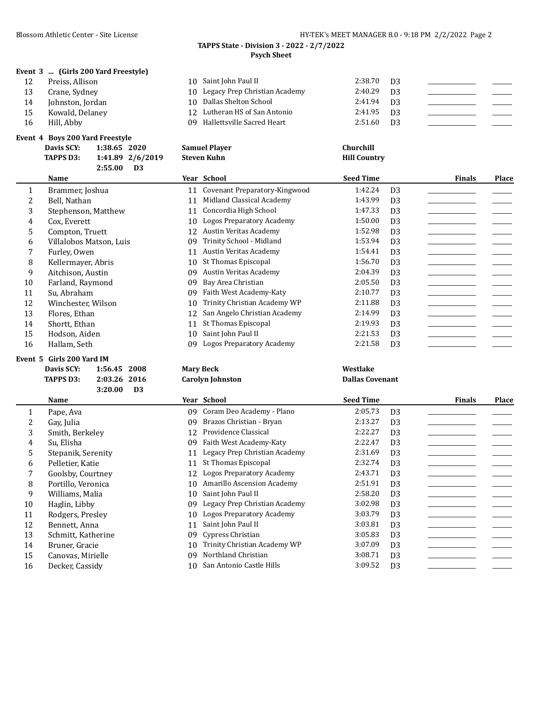#### **TAPPS State - Division 3 - 2022 - 2/7/2022 Psych Sheet**

|  |  | Event 3  (Girls 200 Yard Freestyle) |
|--|--|-------------------------------------|
|--|--|-------------------------------------|

| 12 | Preiss, Allisor |  |
|----|-----------------|--|
|----|-----------------|--|

- 13 Crane, Sydney 10 Legacy Prep Christian Academy 2:40.29 D3
- 14 Johnston, Jordan 10 Dallas Shelton School 2:41.94 D3
- 15 Kowald, Delaney
- 

# **Event 4 Boys 200 Yard Freestyle**

|    | Davis SCV.<br>1.38.65 2020    | Samuel Player                 | Churchill    |      |
|----|-------------------------------|-------------------------------|--------------|------|
|    | ent 4 Boys 200 Yard Freestyle |                               |              |      |
| 16 | Hill. Abby                    | 09 Hallettsville Sacred Heart | 2:51.60      | - D3 |
| 15 | Kowald, Delaney               | 12 Lutheran HS of San Antonio | $2:41.95$ D3 |      |

10 Saint John Paul II 2:38.70 D3

| <b>Davis SCY:</b> | 1:38.65 2020     | <b>Samuel Player</b> | Churchill           |
|-------------------|------------------|----------------------|---------------------|
| <b>TAPPS D3:</b>  | 1:41.89 2/6/2019 | Steven Kuhn          | <b>Hill Country</b> |
|                   | 2:55.00<br>D3    |                      |                     |

|    | Name                    |    | Year School                      | <b>Seed Time</b> |                | <b>Finals</b> | <b>Place</b> |
|----|-------------------------|----|----------------------------------|------------------|----------------|---------------|--------------|
|    | Brammer, Joshua         | 11 | Covenant Preparatory-Kingwood    | 1:42.24          | D <sub>3</sub> |               |              |
|    | Bell, Nathan            | 11 | Midland Classical Academy        | 1:43.99          | D <sub>3</sub> |               |              |
| 3  | Stephenson, Matthew     | 11 | Concordia High School            | 1:47.33          | D <sub>3</sub> |               |              |
| 4  | Cox. Everett            | 10 | <b>Logos Preparatory Academy</b> | 1:50.00          | D <sub>3</sub> |               |              |
| 5. | Compton, Truett         | 12 | Austin Veritas Academy           | 1:52.98          | D <sub>3</sub> |               |              |
| 6  | Villalobos Matson, Luis | 09 | Trinity School - Midland         | 1:53.94          | D <sub>3</sub> |               |              |
|    | Furley, Owen            | 11 | Austin Veritas Academy           | 1:54.41          | D <sub>3</sub> |               |              |
| 8  | Kellermayer, Abris      | 10 | St Thomas Episcopal              | 1:56.70          | D <sub>3</sub> |               |              |
| 9  | Aitchison, Austin       | 09 | Austin Veritas Academy           | 2:04.39          | D <sub>3</sub> |               |              |
| 10 | Farland, Raymond        | 09 | Bay Area Christian               | 2:05.50          | D <sub>3</sub> |               |              |
| 11 | Su, Abraham             | 09 | Faith West Academy-Katy          | 2:10.77          | D <sub>3</sub> |               |              |
| 12 | Winchester, Wilson      | 10 | Trinity Christian Academy WP     | 2:11.88          | D <sub>3</sub> |               |              |
| 13 | Flores, Ethan           | 12 | San Angelo Christian Academy     | 2:14.99          | D <sub>3</sub> |               |              |
| 14 | Shortt, Ethan           |    | St Thomas Episcopal              | 2:19.93          | D <sub>3</sub> |               |              |
| 15 | Hodson, Aiden           | 10 | Saint John Paul II               | 2:21.53          | D <sub>3</sub> |               |              |
| 16 | Hallam, Seth            | 09 | Logos Preparatory Academy        | 2:21.58          | D <sub>3</sub> |               |              |

# **Event 5 Girls 200 Yard IM**

| Davis SCY: | 1:56.45 2008 |  |
|------------|--------------|--|
| TAPPS D3:  | 2:03.26 2016 |  |
|            |              |  |

| [APPS D3: | 2:03.26 2016 |    |  |
|-----------|--------------|----|--|
|           | 3:20.00      | ÐЗ |  |

| 3.ZV.VV<br>כע |                    |    |                               |                  |                |               |              |
|---------------|--------------------|----|-------------------------------|------------------|----------------|---------------|--------------|
|               | <b>Name</b>        |    | Year School                   | <b>Seed Time</b> |                | <b>Finals</b> | <b>Place</b> |
|               | Pape, Ava          | 09 | Coram Deo Academy - Plano     | 2:05.73          | D <sub>3</sub> |               |              |
|               | Gay, Julia         | 09 | Brazos Christian - Bryan      | 2:13.27          | D <sub>3</sub> |               |              |
| 3             | Smith, Berkeley    | 12 | Providence Classical          | 2:22.27          | D <sub>3</sub> |               |              |
| 4             | Su, Elisha         | 09 | Faith West Academy-Katy       | 2:22.47          | D <sub>3</sub> |               |              |
| 5.            | Stepanik, Serenity | 11 | Legacy Prep Christian Academy | 2:31.69          | D <sub>3</sub> |               |              |
| 6             | Pelletier, Katie   | 11 | St Thomas Episcopal           | 2:32.74          | D <sub>3</sub> |               |              |
|               | Goolsby, Courtney  |    | 12 Logos Preparatory Academy  | 2:43.71          | D <sub>3</sub> |               |              |
| 8             | Portillo, Veronica | 10 | Amarillo Ascension Academy    | 2:51.91          | D <sub>3</sub> |               |              |
| 9             | Williams, Malia    | 10 | Saint John Paul II            | 2:58.20          | D <sub>3</sub> |               |              |
| 10            | Haglin, Libby      | 09 | Legacy Prep Christian Academy | 3:02.98          | D <sub>3</sub> |               |              |
| 11            | Rodgers, Presley   | 10 | Logos Preparatory Academy     | 3:03.79          | D <sub>3</sub> |               |              |
| 12            | Bennett, Anna      | 11 | Saint John Paul II            | 3:03.81          | D <sub>3</sub> |               |              |
| 13            | Schmitt, Katherine | 09 | Cypress Christian             | 3:05.83          | D <sub>3</sub> |               |              |
| 14            | Bruner, Gracie     | 10 | Trinity Christian Academy WP  | 3:07.09          | D <sub>3</sub> |               |              |

15 Canovas, Mirielle 19 O9 Northland Christian 3:08.71 D3 16 Decker, Cassidy 10 San Antonio Castle Hills 3:09.52 D3

**Davis SCY: 1:56.45 2008 Mary Beck Westlake TAPPS D3: 2:03.26 2016 Carolyn Johnston Dallas Covenant**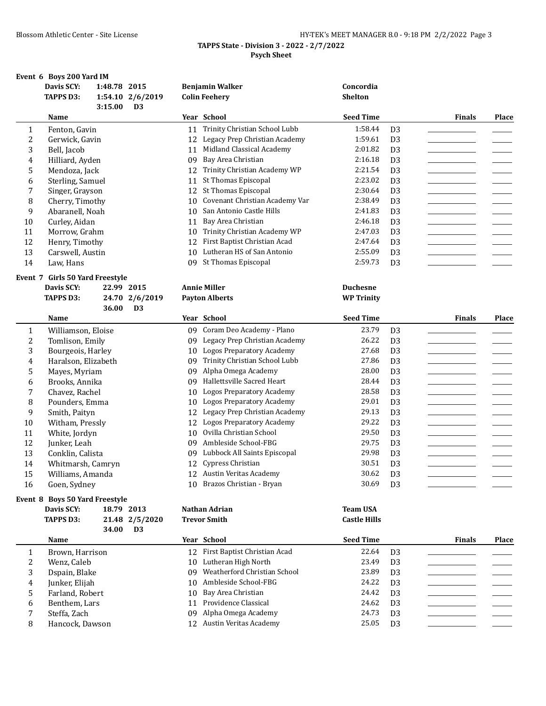|                                            | HY-TEK's MEET MANAGER 8.0 - 9:18 PM 2/2/2022 Page 3 |  |  |
|--------------------------------------------|-----------------------------------------------------|--|--|
| TAPPS State - Division 3 - 2022 - 2/7/2022 |                                                     |  |  |
| <b>Psych Sheet</b>                         |                                                     |  |  |

|                | Event 6 Boys 200 Yard IM         |              |                                  |          |                                                |                             |                                  |               |              |
|----------------|----------------------------------|--------------|----------------------------------|----------|------------------------------------------------|-----------------------------|----------------------------------|---------------|--------------|
|                | Davis SCY:<br><b>TAPPS D3:</b>   | 1:48.78 2015 | 1:54.10 2/6/2019                 |          | <b>Benjamin Walker</b><br><b>Colin Feehery</b> | Concordia<br><b>Shelton</b> |                                  |               |              |
|                | Name                             | 3:15.00      | D <sub>3</sub>                   |          | Year School                                    | <b>Seed Time</b>            |                                  | <b>Finals</b> | <b>Place</b> |
| 1              | Fenton, Gavin                    |              |                                  | 11       | Trinity Christian School Lubb                  | 1:58.44                     | D <sub>3</sub>                   |               |              |
| 2              | Gerwick, Gavin                   |              |                                  | 12       | Legacy Prep Christian Academy                  | 1:59.61                     | D <sub>3</sub>                   |               |              |
| 3              | Bell, Jacob                      |              |                                  | 11       | Midland Classical Academy                      | 2:01.82                     | D <sub>3</sub>                   |               |              |
| 4              | Hilliard, Ayden                  |              |                                  | 09       | Bay Area Christian                             | 2:16.18                     | D <sub>3</sub>                   |               |              |
| 5              | Mendoza, Jack                    |              |                                  | 12       | Trinity Christian Academy WP                   | 2:21.54                     | D <sub>3</sub>                   |               |              |
| 6              | Sterling, Samuel                 |              |                                  | 11       | St Thomas Episcopal                            | 2:23.02                     | D <sub>3</sub>                   |               |              |
| 7              | Singer, Grayson                  |              |                                  | 12       | St Thomas Episcopal                            | 2:30.64                     | D <sub>3</sub>                   |               |              |
| 8              | Cherry, Timothy                  |              |                                  | 10       | Covenant Christian Academy Var                 | 2:38.49                     | D <sub>3</sub>                   |               |              |
| 9              | Abaranell, Noah                  |              |                                  | 10       | San Antonio Castle Hills                       | 2:41.83                     | D <sub>3</sub>                   |               |              |
| 10             | Curley, Aidan                    |              |                                  | 11       | Bay Area Christian                             | 2:46.18                     | D <sub>3</sub>                   |               |              |
| 11             | Morrow, Grahm                    |              |                                  | 10       | Trinity Christian Academy WP                   | 2:47.03                     | D <sub>3</sub>                   |               |              |
| 12             | Henry, Timothy                   |              |                                  | 12       | First Baptist Christian Acad                   | 2:47.64                     | D <sub>3</sub>                   |               |              |
| 13             | Carswell, Austin                 |              |                                  | 10       | Lutheran HS of San Antonio                     | 2:55.09                     | D <sub>3</sub>                   |               |              |
| 14             | Law, Hans                        |              |                                  | 09       | St Thomas Episcopal                            | 2:59.73                     | D <sub>3</sub>                   |               |              |
|                | Event 7 Girls 50 Yard Freestyle  |              |                                  |          | <b>Annie Miller</b>                            |                             |                                  |               |              |
|                | Davis SCY:                       | 22.99 2015   |                                  |          |                                                | <b>Duchesne</b>             |                                  |               |              |
|                | <b>TAPPS D3:</b>                 | 36.00        | 24.70 2/6/2019<br>D <sub>3</sub> |          | <b>Payton Alberts</b>                          | <b>WP Trinity</b>           |                                  |               |              |
|                | Name                             |              |                                  |          | Year School                                    | <b>Seed Time</b>            |                                  | <b>Finals</b> | Place        |
|                |                                  |              |                                  |          | 09 Coram Deo Academy - Plano                   | 23.79                       |                                  |               |              |
| $\mathbf{1}$   | Williamson, Eloise               |              |                                  |          | Legacy Prep Christian Academy                  | 26.22                       | D <sub>3</sub>                   |               |              |
| $\overline{c}$ | Tomlison, Emily                  |              |                                  | 09       | Logos Preparatory Academy                      | 27.68                       | D <sub>3</sub><br>D <sub>3</sub> |               |              |
| 3              | Bourgeois, Harley                |              |                                  | 10       | Trinity Christian School Lubb                  | 27.86                       |                                  |               |              |
| 4              | Haralson, Elizabeth              |              |                                  | 09<br>09 | Alpha Omega Academy                            | 28.00                       | D <sub>3</sub><br>D <sub>3</sub> |               |              |
| 5              | Mayes, Myriam                    |              |                                  | 09       | Hallettsville Sacred Heart                     | 28.44                       | D <sub>3</sub>                   |               |              |
| 6<br>7         | Brooks, Annika<br>Chavez, Rachel |              |                                  | 10       | <b>Logos Preparatory Academy</b>               | 28.58                       | D <sub>3</sub>                   |               |              |
| 8              | Pounders, Emma                   |              |                                  | 10       | <b>Logos Preparatory Academy</b>               | 29.01                       | D <sub>3</sub>                   |               |              |
| 9              | Smith, Paityn                    |              |                                  | 12       | Legacy Prep Christian Academy                  | 29.13                       | D <sub>3</sub>                   |               |              |
| 10             | Witham, Pressly                  |              |                                  | 12       | <b>Logos Preparatory Academy</b>               | 29.22                       | D <sub>3</sub>                   |               |              |
| 11             | White, Jordyn                    |              |                                  | 10       | Ovilla Christian School                        | 29.50                       | D <sub>3</sub>                   |               |              |
| 12             | Junker, Leah                     |              |                                  | 09       | Ambleside School-FBG                           | 29.75                       | D <sub>3</sub>                   |               |              |
| 13             | Conklin, Calista                 |              |                                  | 09       | Lubbock All Saints Episcopal                   | 29.98                       | D <sub>3</sub>                   |               |              |
| 14             | Whitmarsh, Camryn                |              |                                  | 12       | Cypress Christian                              | 30.51                       | D <sub>3</sub>                   |               |              |
| 15             | Williams, Amanda                 |              |                                  |          | 12 Austin Veritas Academy                      | 30.62                       |                                  |               |              |
| 16             | Goen, Sydney                     |              |                                  |          | 10 Brazos Christian - Bryan                    | 30.69                       | D <sub>3</sub><br>D <sub>3</sub> |               |              |
|                | Event 8 Boys 50 Yard Freestyle   |              |                                  |          |                                                |                             |                                  |               |              |
|                | Davis SCY:                       |              | 18.79 2013                       |          | Nathan Adrian                                  | <b>Team USA</b>             |                                  |               |              |
|                | <b>TAPPS D3:</b>                 |              | 21.48 2/5/2020                   |          | <b>Trevor Smith</b>                            | <b>Castle Hills</b>         |                                  |               |              |
|                |                                  | 34.00        | D <sub>3</sub>                   |          |                                                |                             |                                  |               |              |
|                | Name                             |              |                                  |          | Year School                                    | <b>Seed Time</b>            |                                  | <b>Finals</b> | Place        |
| 1              | Brown, Harrison                  |              |                                  |          | 12 First Baptist Christian Acad                | 22.64                       | D <sub>3</sub>                   |               |              |
| 2              | Wenz, Caleb                      |              |                                  | 10       | Lutheran High North                            | 23.49                       | D <sub>3</sub>                   |               |              |
| 3              | Dspain, Blake                    |              |                                  | 09       | Weatherford Christian School                   | 23.89                       | D <sub>3</sub>                   |               |              |
| 4              | Junker, Elijah                   |              |                                  | 10       | Ambleside School-FBG                           | 24.22                       | D <sub>3</sub>                   |               |              |
| 5              | Farland, Robert                  |              |                                  | 10       | Bay Area Christian                             | 24.42                       | D <sub>3</sub>                   |               |              |
| 6              | Benthem, Lars                    |              |                                  | 11       | Providence Classical                           | 24.62                       | D <sub>3</sub>                   |               |              |
| 7              | Steffa, Zach                     |              |                                  | 09       | Alpha Omega Academy                            | 24.73                       | D <sub>3</sub>                   |               |              |
| 8              | Hancock, Dawson                  |              |                                  |          | 12 Austin Veritas Academy                      | 25.05                       | D <sub>3</sub>                   |               |              |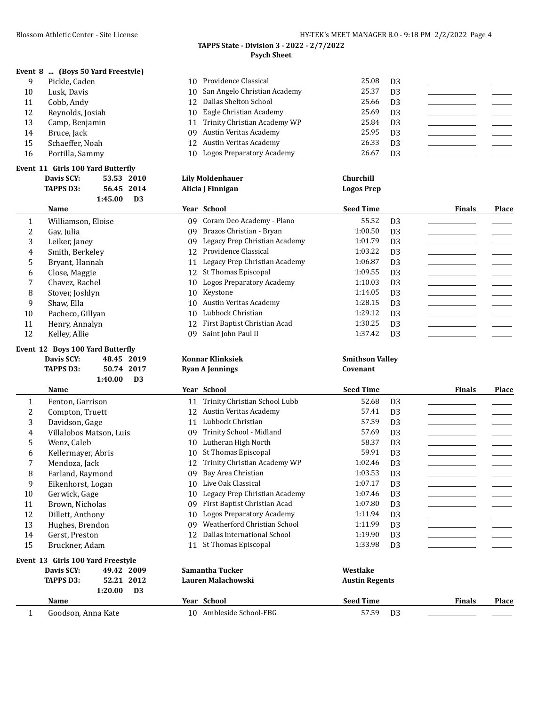# **TAPPS State - Division 3 - 2022 - 2/7/2022 Psych Sheet**

|  |  | Event 8  (Boys 50 Yard Freestyle) |
|--|--|-----------------------------------|
|--|--|-----------------------------------|

| 9  | Pickle, Caden    | 10 Providence Classical         | 25.08 | D <sub>3</sub> |  |
|----|------------------|---------------------------------|-------|----------------|--|
| 10 | Lusk. Davis      | 10 San Angelo Christian Academy | 25.37 | D <sub>3</sub> |  |
| 11 | Cobb, Andy       | 12 Dallas Shelton School        | 25.66 | D <sub>3</sub> |  |
| 12 | Reynolds, Josiah | 10 Eagle Christian Academy      | 25.69 | D <sub>3</sub> |  |
| 13 | Camp, Benjamin   | 11 Trinity Christian Academy WP | 25.84 | D <sub>3</sub> |  |
| 14 | Bruce, Jack      | 09 Austin Veritas Academy       | 25.95 | D.3            |  |
| 15 | Schaeffer, Noah  | 12 Austin Veritas Academy       | 26.33 | D <sub>3</sub> |  |
| 16 | Portilla, Sammy  | 10 Logos Preparatory Academy    | 26.67 | D <sub>3</sub> |  |
|    |                  |                                 |       |                |  |

# **Event 11 Girls 100 Yard Butterfly<br>Davis SCY:** 53.53 2010

|    | Davis SCY:                                               | 53.53 2010 |                | <b>Lily Moldenhauer</b>       | Churchill         |                |               |              |
|----|----------------------------------------------------------|------------|----------------|-------------------------------|-------------------|----------------|---------------|--------------|
|    | <b>TAPPS D3:</b>                                         | 56.45 2014 |                | Alicia J Finnigan             | <b>Logos Prep</b> |                |               |              |
|    |                                                          | 1:45.00    | D <sub>3</sub> |                               |                   |                |               |              |
|    | Name                                                     |            |                | Year School                   | <b>Seed Time</b>  |                | <b>Finals</b> | <b>Place</b> |
| 1  | Williamson, Eloise                                       |            | 09             | Coram Deo Academy - Plano     | 55.52             | D <sub>3</sub> |               |              |
| 2  | Gav, Julia                                               |            | 09             | Brazos Christian - Bryan      | 1:00.50           | D <sub>3</sub> |               |              |
| 3  | Leiker, Janev                                            |            | 09             | Legacy Prep Christian Academy | 1:01.79           | D <sub>3</sub> |               |              |
| 4  | Smith, Berkelev                                          |            | 12             | Providence Classical          | 1:03.22           | D <sub>3</sub> |               |              |
| 5. | Bryant, Hannah                                           |            | 11             | Legacy Prep Christian Academy | 1:06.87           | D <sub>3</sub> |               |              |
| 6  | Close, Maggie                                            |            | 12             | St Thomas Episcopal           | 1:09.55           | D <sub>3</sub> |               |              |
|    | Chavez, Rachel                                           |            | 10             | Logos Preparatory Academy     | 1:10.03           | D <sub>3</sub> |               |              |
| 8  | Stover, Joshlyn                                          |            | 10             | Keystone                      | 1:14.05           | D <sub>3</sub> |               |              |
| 9  | Shaw, Ella                                               |            | 10             | Austin Veritas Academy        | 1:28.15           | D <sub>3</sub> |               |              |
| 10 | Pacheco, Gillyan                                         |            | 10             | Lubbock Christian             | 1:29.12           | D <sub>3</sub> |               |              |
| 11 | Henry, Annalyn                                           |            | 12             | First Baptist Christian Acad  | 1:30.25           | D <sub>3</sub> |               |              |
| 12 | Kelley, Allie                                            |            | 09             | Saint John Paul II            | 1:37.42           | D <sub>3</sub> |               |              |
|    | $\ldots$ . 49. B. $\ldots$ 400 V $\ldots$ B. $\ldots$ d. |            |                |                               |                   |                |               |              |

**Davis SCY: 48.45 2019 Konnar Klinksiek Smithson Valley**

# **Event 12 Boys 100 Yard Butterfly**

| Davis SCY: | 48.45 2019   |  |
|------------|--------------|--|
| TAPPS D3:  | 50.74 2017   |  |
|            | $1:40.00$ D3 |  |

|    | <b>TAPPS D3:</b><br>50.74 2017    | <b>Ryan A Jennings</b>              | Covenant                  |                        |
|----|-----------------------------------|-------------------------------------|---------------------------|------------------------|
|    | 1:40.00<br>D <sub>3</sub>         |                                     |                           |                        |
|    | <b>Name</b>                       | Year School                         | <b>Seed Time</b>          | Place<br><b>Finals</b> |
| 1  | Fenton, Garrison                  | Trinity Christian School Lubb<br>11 | 52.68<br>D <sub>3</sub>   |                        |
| 2  | Compton, Truett                   | Austin Veritas Academy<br>12        | 57.41<br>D <sub>3</sub>   |                        |
| 3  | Davidson, Gage                    | Lubbock Christian<br>11             | 57.59<br>D <sub>3</sub>   |                        |
| 4  | Villalobos Matson, Luis           | Trinity School - Midland<br>09      | 57.69<br>D <sub>3</sub>   |                        |
| 5  | Wenz, Caleb                       | Lutheran High North<br>10           | 58.37<br>D <sub>3</sub>   |                        |
| 6  | Kellermayer, Abris                | St Thomas Episcopal<br>10           | 59.91<br>D <sub>3</sub>   |                        |
| 7  | Mendoza, Jack                     | Trinity Christian Academy WP<br>12  | 1:02.46<br>D <sub>3</sub> |                        |
| 8  | Farland, Raymond                  | Bay Area Christian<br>09            | 1:03.53<br>D <sub>3</sub> |                        |
| 9  | Eikenhorst, Logan                 | Live Oak Classical<br>10            | 1:07.17<br>D <sub>3</sub> |                        |
| 10 | Gerwick, Gage                     | Legacy Prep Christian Academy<br>10 | 1:07.46<br>D <sub>3</sub> |                        |
| 11 | Brown, Nicholas                   | First Baptist Christian Acad<br>09  | 1:07.80<br>D <sub>3</sub> |                        |
| 12 | Dillett, Anthony                  | Logos Preparatory Academy<br>10     | 1:11.94<br>D <sub>3</sub> |                        |
| 13 | Hughes, Brendon                   | Weatherford Christian School<br>09  | 1:11.99<br>D <sub>3</sub> |                        |
| 14 | Gerst, Preston                    | Dallas International School<br>12   | 1:19.90<br>D <sub>3</sub> |                        |
| 15 | Bruckner, Adam                    | St Thomas Episcopal<br>11           | 1:33.98<br>D <sub>3</sub> |                        |
|    | Event 13 Girls 100 Yard Freestyle |                                     |                           |                        |
|    | Davis SCY:<br>49.42 2009          | Samantha Tucker                     | Westlake                  |                        |

**1:20.00 D3 Name Year School Seed Time Finals Place** 1 Goodson, Anna Kate 10 Ambleside School-FBG 57.59 D3

**TAPPS D3: 52.21 2012 Lauren Malachowski Austin Regents**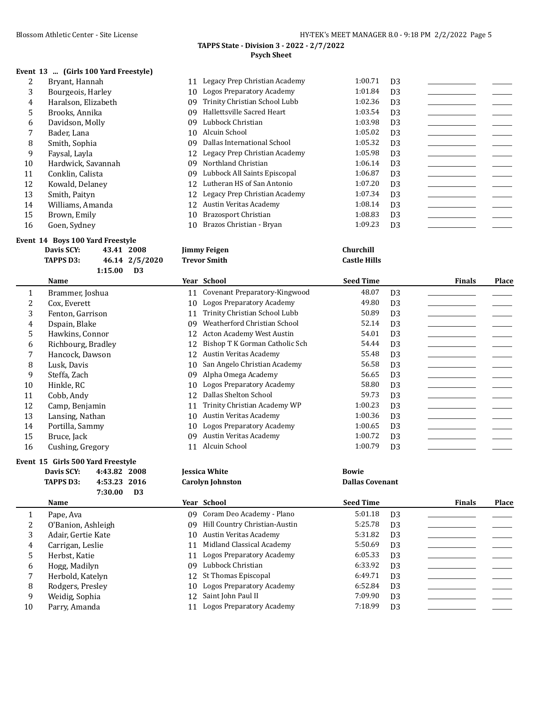**TAPPS D3: 46.14 2/5/2020 Trevor Smith Castle Hills**

#### **TAPPS State - Division 3 - 2022 - 2/7/2022 Psych Sheet**

# **Event 13 ... (Girls 100 Yard Freestyle)**

| 2  | Bryant, Hannah      | 11 | Legacy Prep Christian Academy | 1:00.71 | D <sub>3</sub> |  |
|----|---------------------|----|-------------------------------|---------|----------------|--|
| 3  | Bourgeois, Harley   | 10 | Logos Preparatory Academy     | 1:01.84 | D <sub>3</sub> |  |
| 4  | Haralson, Elizabeth | 09 | Trinity Christian School Lubb | 1:02.36 | D <sub>3</sub> |  |
| 5. | Brooks, Annika      | 09 | Hallettsville Sacred Heart    | 1:03.54 | D <sub>3</sub> |  |
| 6  | Davidson, Molly     | 09 | Lubbock Christian             | 1:03.98 | D <sub>3</sub> |  |
|    | Bader, Lana         | 10 | Alcuin School                 | 1:05.02 | D <sub>3</sub> |  |
| 8  | Smith, Sophia       | 09 | Dallas International School   | 1:05.32 | D <sub>3</sub> |  |
| 9  | Faysal, Layla       | 12 | Legacy Prep Christian Academy | 1:05.98 | D <sub>3</sub> |  |
| 10 | Hardwick, Savannah  | 09 | Northland Christian           | 1:06.14 | D <sub>3</sub> |  |
| 11 | Conklin, Calista    | 09 | Lubbock All Saints Episcopal  | 1:06.87 | D <sub>3</sub> |  |
| 12 | Kowald, Delaney     | 12 | Lutheran HS of San Antonio    | 1:07.20 | D <sub>3</sub> |  |
| 13 | Smith, Paityn       | 12 | Legacy Prep Christian Academy | 1:07.34 | D <sub>3</sub> |  |
| 14 | Williams, Amanda    | 12 | Austin Veritas Academy        | 1:08.14 | D <sub>3</sub> |  |
| 15 | Brown, Emily        | 10 | Brazosport Christian          | 1:08.83 | D <sub>3</sub> |  |
| 16 | Goen, Sydney        | 10 | Brazos Christian - Bryan      | 1:09.23 | D <sub>3</sub> |  |

#### **Event 14 Boys 100 Yard Freestyle**

| Davis SCY: | 43.41 2008     | <b>Jimmy Feigen</b> | Churchill         |
|------------|----------------|---------------------|-------------------|
| TAPPS D3:  | 46.14 2/5/2020 | Trevor Smith        | <b>Castle Hil</b> |
|            | 1:15.00<br>D3  |                     |                   |

|    | Name               |    | Year School                      | <b>Seed Time</b> |                | <b>Finals</b> | Place |
|----|--------------------|----|----------------------------------|------------------|----------------|---------------|-------|
| 1  | Brammer, Joshua    | 11 | Covenant Preparatory-Kingwood    | 48.07            | D <sub>3</sub> |               |       |
| 2  | Cox, Everett       | 10 | Logos Preparatory Academy        | 49.80            | D <sub>3</sub> |               |       |
| 3  | Fenton, Garrison   | 11 | Trinity Christian School Lubb    | 50.89            | D <sub>3</sub> |               |       |
| 4  | Dspain, Blake      | 09 | Weatherford Christian School     | 52.14            | D <sub>3</sub> |               |       |
| 5. | Hawkins, Connor    | 12 | Acton Academy West Austin        | 54.01            | D <sub>3</sub> |               |       |
| 6  | Richbourg, Bradley | 12 | Bishop T K Gorman Catholic Sch   | 54.44            | D <sub>3</sub> |               |       |
|    | Hancock, Dawson    | 12 | Austin Veritas Academy           | 55.48            | D <sub>3</sub> |               |       |
| 8  | Lusk, Davis        | 10 | San Angelo Christian Academy     | 56.58            | D <sub>3</sub> |               |       |
| 9  | Steffa, Zach       | 09 | Alpha Omega Academy              | 56.65            | D <sub>3</sub> |               |       |
| 10 | Hinkle, RC         | 10 | <b>Logos Preparatory Academy</b> | 58.80            | D <sub>3</sub> |               |       |
| 11 | Cobb. Andy         | 12 | Dallas Shelton School            | 59.73            | D <sub>3</sub> |               |       |
| 12 | Camp, Benjamin     | 11 | Trinity Christian Academy WP     | 1:00.23          | D <sub>3</sub> |               |       |
| 13 | Lansing, Nathan    | 10 | Austin Veritas Academy           | 1:00.36          | D <sub>3</sub> |               |       |
| 14 | Portilla, Sammy    | 10 | Logos Preparatory Academy        | 1:00.65          | D <sub>3</sub> |               |       |
| 15 | Bruce, Jack        | 09 | Austin Veritas Academy           | 1:00.72          | D <sub>3</sub> |               |       |
| 16 | Cushing, Gregory   | 11 | Alcuin School                    | 1:00.79          | D <sub>3</sub> |               |       |
|    |                    |    |                                  |                  |                |               |       |

#### **Event 15 Girls 500 Yard Freestyle**

| Davis SCY: | 4:43.82 2008 |      |
|------------|--------------|------|
| TAPPS D3:  | 4:53.23 2016 |      |
|            | 7:30.00      | - D3 |

|    | Name               |    | Year School                      | <b>Seed Time</b> | <b>Finals</b>  | Place |
|----|--------------------|----|----------------------------------|------------------|----------------|-------|
|    | Pape, Ava          | 09 | Coram Deo Academy - Plano        | 5:01.18          | D <sub>3</sub> |       |
|    | O'Banion, Ashleigh | 09 | Hill Country Christian-Austin    | 5:25.78          | D <sub>3</sub> |       |
| 3  | Adair, Gertie Kate | 10 | Austin Veritas Academy           | 5:31.82          | D <sub>3</sub> |       |
| 4  | Carrigan, Leslie   | 11 | Midland Classical Academy        | 5:50.69          | D <sub>3</sub> |       |
|    | Herbst, Katie      | 11 | <b>Logos Preparatory Academy</b> | 6:05.33          | D <sub>3</sub> |       |
| 6  | Hogg, Madilyn      | 09 | Lubbock Christian                | 6:33.92          | D <sub>3</sub> |       |
|    | Herbold, Katelyn   |    | 12 St Thomas Episcopal           | 6:49.71          | D <sub>3</sub> |       |
| 8  | Rodgers, Presley   | 10 | Logos Preparatory Academy        | 6:52.84          | D <sub>3</sub> |       |
| 9  | Weidig, Sophia     |    | 12 Saint John Paul II            | 7:09.90          | D <sub>3</sub> |       |
| 10 | Parry, Amanda      | 11 | Logos Preparatory Academy        | 7:18.99          | D <sub>3</sub> |       |
|    |                    |    |                                  |                  |                |       |

**Davis SCY: 4:43.82 2008 Jessica White Bowie**

**TAPPS Carolyn Johnston Carolyn Johnston Dallas Covenant**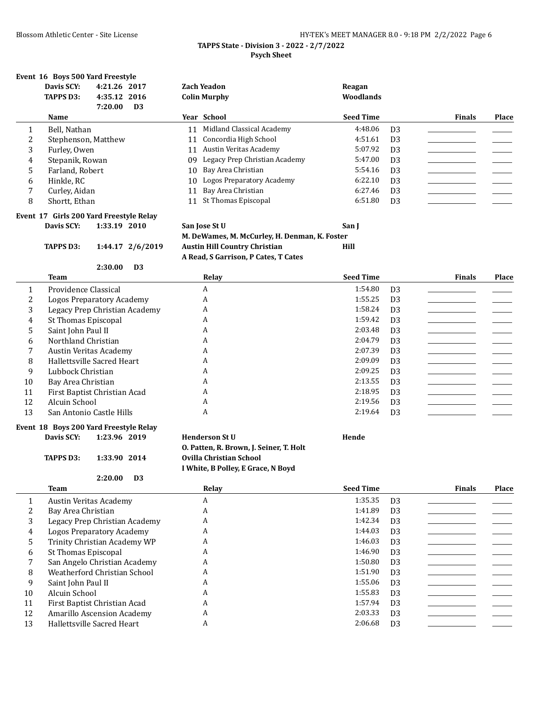|                                            | HY-TEK's MEET MANAGER 8.0 - 9:18 PM 2/2/2022 Page 6 |  |
|--------------------------------------------|-----------------------------------------------------|--|
| TAPPS State - Division 3 - 2022 - 2/7/2022 |                                                     |  |

#### **Psych Sheet**

#### **Event 16 Boys 500 Yard Freestyle**

|    | Davis SCY:<br><b>TAPPS D3:</b> | 4:21.26 2017<br>4:35.12 2016<br>7:20.00 | D <sub>3</sub> | <b>Zach Yeadon</b><br><b>Colin Murphy</b> | Reagan<br>Woodlands |                |               |       |
|----|--------------------------------|-----------------------------------------|----------------|-------------------------------------------|---------------------|----------------|---------------|-------|
|    | Name                           |                                         |                | Year School                               | <b>Seed Time</b>    |                | <b>Finals</b> | Place |
|    | Bell, Nathan                   |                                         | 11             | Midland Classical Academy                 | 4:48.06             | D <sub>3</sub> |               |       |
| C. | Stephenson, Matthew            |                                         | 11             | Concordia High School                     | 4:51.61             | D <sub>3</sub> |               |       |
| 3  | Furley, Owen                   |                                         | 11             | Austin Veritas Academy                    | 5:07.92             | D <sub>3</sub> |               |       |
| 4  | Stepanik, Rowan                |                                         | 09             | Legacy Prep Christian Academy             | 5:47.00             | D <sub>3</sub> |               |       |
| 5  | Farland, Robert                |                                         | 10             | Bay Area Christian                        | 5:54.16             | D <sub>3</sub> |               |       |
| 6  | Hinkle, RC                     |                                         | 10             | <b>Logos Preparatory Academy</b>          | 6:22.10             | D <sub>3</sub> |               |       |
|    | Curley, Aidan                  |                                         | 11             | Bay Area Christian                        | 6:27.46             | D <sub>3</sub> |               |       |
| 8  | Shortt, Ethan                  |                                         | 11             | St Thomas Episcopal                       | 6:51.80             | D <sub>3</sub> |               |       |

# **Event 17 Girls 200 Yard Freestyle Relay**

**2:30.00 D3**

**Davis SCY: 1:33.19 2010 San Jose St U San J M. DeWames, M. McCurley, H. Denman, K. Foster TAPPS D3: 1:44.17 2/6/2019 Austin Hill Country Christian Hill A Read, S Garrison, P Cates, T Cates**

|    | Team                          | Relay | <b>Seed Time</b> |                | <b>Finals</b> | Place |
|----|-------------------------------|-------|------------------|----------------|---------------|-------|
|    | Providence Classical          | A     | 1:54.80          | D <sub>3</sub> |               |       |
|    | Logos Preparatory Academy     | A     | 1:55.25          | D <sub>3</sub> |               |       |
| 3  | Legacy Prep Christian Academy | A     | 1:58.24          | D <sub>3</sub> |               |       |
| 4  | St Thomas Episcopal           | A     | 1:59.42          | D <sub>3</sub> |               |       |
| 5  | Saint John Paul II            | A     | 2:03.48          | D <sub>3</sub> |               |       |
| 6  | Northland Christian           | A     | 2:04.79          | D <sub>3</sub> |               |       |
|    | Austin Veritas Academy        | A     | 2:07.39          | D <sub>3</sub> |               |       |
| 8  | Hallettsville Sacred Heart    | A     | 2:09.09          | D <sub>3</sub> |               |       |
| 9  | Lubbock Christian             | A     | 2:09.25          | D <sub>3</sub> |               |       |
| 10 | Bay Area Christian            | A     | 2:13.55          | D <sub>3</sub> |               |       |
| 11 | First Baptist Christian Acad  | A     | 2:18.95          | D <sub>3</sub> |               |       |
| 12 | Alcuin School                 | A     | 2:19.56          | D <sub>3</sub> |               |       |
| 13 | San Antonio Castle Hills      | A     | 2:19.64          | D <sub>3</sub> |               |       |

#### **Event 18 Boys 200 Yard Freestyle Relay Davis SCY: 1:23.96 2019 Henderson St U Hende**

| .PPC N? . | 1.33.90 $2014$ |  |
|-----------|----------------|--|

**O. Patten, R. Brown, J. Seiner, T. Holt TAPPS D3: 1:33.90 2014 Ovilla Christian School I White, B Polley, E Grace, N Boyd**

#### **2:20.00 D3**

**Team Relay Seed Time Finals Place** 1 Austin Veritas Academy A 1:35.35 D3 2 Bay Area Christian A 1:41.89 D3 3 Legacy Prep Christian Academy A 1:42.34 D3 \_\_\_\_\_\_\_\_\_\_\_\_\_\_\_\_\_ \_\_\_\_\_\_\_ 4 Logos Preparatory Academy A 1:44.03 D3 \_\_\_\_\_\_\_\_\_\_\_\_\_\_\_\_\_ \_\_\_\_\_\_\_ 5 Trinity Christian Academy WP A 1:46.03 D3 6 St Thomas Episcopal A 1:46.90 D3 7 San Angelo Christian Academy A 1:50.80 D3 \_\_\_\_\_\_\_\_\_\_\_\_\_\_\_\_\_ \_\_\_\_\_\_\_ 8 Weatherford Christian School A 1:51.90 D3 9 Saint John Paul II A A 1:55.06 D3 \_\_\_\_\_\_\_\_\_\_\_ 10 Alcuin School A 1:55.83 D3 \_\_\_\_\_\_\_\_\_\_\_\_\_\_\_\_\_ \_\_\_\_\_\_\_ 11 First Baptist Christian Acad A 1:57.94 D3 12 Amarillo Ascension Academy A 2:03.33 D3 13 Hallettsville Sacred Heart A 2:06.68 D3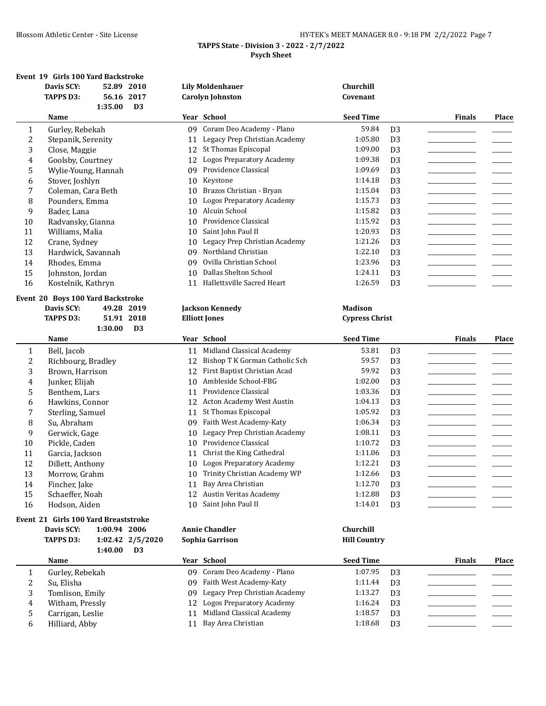|                                            | HY-TEK's MEET MANAGER 8.0 - 9:18 PM 2/2/2022 Page 7 |  |
|--------------------------------------------|-----------------------------------------------------|--|
| TAPPS State - Division 3 - 2022 - 2/7/2022 |                                                     |  |
| <b>Psych Sheet</b>                         |                                                     |  |

# **Event 19 Girls 100 Yard Backstroke**

|                  | EVEILL 19 GILLS TOO TALU BACKSU OKE<br>Davis SCY:<br>52.89 2010 |    | <b>Lily Moldenhauer</b>          | Churchill             |                                  |                                                                                                                      |       |
|------------------|-----------------------------------------------------------------|----|----------------------------------|-----------------------|----------------------------------|----------------------------------------------------------------------------------------------------------------------|-------|
|                  | <b>TAPPS D3:</b><br>56.16 2017                                  |    | <b>Carolyn Johnston</b>          | Covenant              |                                  |                                                                                                                      |       |
|                  | 1:35.00<br>D <sub>3</sub>                                       |    |                                  |                       |                                  |                                                                                                                      |       |
|                  | Name                                                            |    | Year School                      | <b>Seed Time</b>      |                                  | Finals                                                                                                               | Place |
| 1                | Gurley, Rebekah                                                 | 09 | Coram Deo Academy - Plano        | 59.84                 | D <sub>3</sub>                   |                                                                                                                      |       |
| $\overline{c}$   | Stepanik, Serenity                                              | 11 | Legacy Prep Christian Academy    | 1:05.80               | D <sub>3</sub>                   |                                                                                                                      |       |
| 3                | Close, Maggie                                                   |    | 12 St Thomas Episcopal           | 1:09.00               | D <sub>3</sub>                   | ______________________                                                                                               |       |
| 4                | Goolsby, Courtney                                               | 12 | <b>Logos Preparatory Academy</b> | 1:09.38               | D <sub>3</sub>                   | <u> 1990 - Jan Jawa Barat, prima prima prima prima prima prima prima prima prima prima prima prima prima prima p</u> |       |
| 5                | Wylie-Young, Hannah                                             | 09 | Providence Classical             | 1:09.69               | D <sub>3</sub>                   |                                                                                                                      |       |
| 6                | Stover, Joshlyn                                                 | 10 | Keystone                         | 1:14.18               | D <sub>3</sub>                   | the control of the control of the                                                                                    |       |
| 7                | Coleman, Cara Beth                                              | 10 | Brazos Christian - Bryan         | 1:15.04               | D <sub>3</sub>                   |                                                                                                                      |       |
| 8                | Pounders, Emma                                                  | 10 | <b>Logos Preparatory Academy</b> | 1:15.73               | D <sub>3</sub>                   | _______________________                                                                                              |       |
| 9                | Bader, Lana                                                     | 10 | Alcuin School                    | 1:15.82               | D <sub>3</sub>                   |                                                                                                                      |       |
| $10\,$           | Radvansky, Gianna                                               | 10 | Providence Classical             | 1:15.92               | D <sub>3</sub>                   |                                                                                                                      |       |
| 11               | Williams, Malia                                                 | 10 | Saint John Paul II               | 1:20.93               | D <sub>3</sub>                   |                                                                                                                      |       |
| 12               | Crane, Sydney                                                   | 10 | Legacy Prep Christian Academy    | 1:21.26               | D <sub>3</sub>                   |                                                                                                                      |       |
| 13               | Hardwick, Savannah                                              | 09 | Northland Christian              | 1:22.10               | D <sub>3</sub>                   |                                                                                                                      |       |
| 14               | Rhodes, Emma                                                    | 09 | Ovilla Christian School          | 1:23.96               | D <sub>3</sub>                   |                                                                                                                      |       |
| 15               | Johnston, Jordan                                                | 10 | Dallas Shelton School            | 1:24.11               | D <sub>3</sub>                   | ______________________                                                                                               |       |
| 16               | Kostelnik, Kathryn                                              |    | 11 Hallettsville Sacred Heart    | 1:26.59               | D <sub>3</sub>                   |                                                                                                                      |       |
|                  | Event 20 Boys 100 Yard Backstroke                               |    |                                  |                       |                                  |                                                                                                                      |       |
|                  | Davis SCY:<br>49.28 2019                                        |    | <b>Jackson Kennedy</b>           | <b>Madison</b>        |                                  |                                                                                                                      |       |
|                  | <b>TAPPS D3:</b><br>51.91 2018                                  |    | <b>Elliott Jones</b>             | <b>Cypress Christ</b> |                                  |                                                                                                                      |       |
|                  | 1:30.00<br>D <sub>3</sub>                                       |    |                                  |                       |                                  |                                                                                                                      |       |
|                  | Name                                                            |    | Year School                      | <b>Seed Time</b>      |                                  | Finals                                                                                                               | Place |
| $\mathbf{1}$     | Bell, Jacob                                                     | 11 | Midland Classical Academy        | 53.81                 | D <sub>3</sub>                   |                                                                                                                      |       |
| 2                | Richbourg, Bradley                                              | 12 | Bishop T K Gorman Catholic Sch   | 59.57                 | D <sub>3</sub>                   |                                                                                                                      |       |
| 3                | Brown, Harrison                                                 | 12 | First Baptist Christian Acad     | 59.92                 | D <sub>3</sub>                   |                                                                                                                      |       |
| $\boldsymbol{4}$ | Junker, Elijah                                                  | 10 | Ambleside School-FBG             | 1:02.00               | D <sub>3</sub>                   |                                                                                                                      |       |
| 5                |                                                                 |    | Providence Classical             | 1:03.36               | D <sub>3</sub>                   |                                                                                                                      |       |
|                  | Benthem, Lars                                                   | 11 |                                  |                       |                                  |                                                                                                                      |       |
| 6                | Hawkins, Connor                                                 | 12 | Acton Academy West Austin        | 1:04.13               | D <sub>3</sub>                   |                                                                                                                      |       |
| 7                | Sterling, Samuel                                                | 11 | St Thomas Episcopal              | 1:05.92               | D <sub>3</sub>                   |                                                                                                                      |       |
| 8                | Su, Abraham                                                     | 09 | Faith West Academy-Katy          | 1:06.34               | D <sub>3</sub>                   |                                                                                                                      |       |
| 9                | Gerwick, Gage                                                   | 10 | Legacy Prep Christian Academy    | 1:08.11               | D <sub>3</sub>                   |                                                                                                                      |       |
| 10               | Pickle, Caden                                                   | 10 | Providence Classical             | 1:10.72               | D <sub>3</sub>                   |                                                                                                                      |       |
| 11               | Garcia, Jackson                                                 |    | 11 Christ the King Cathedral     | 1:11.06               | D <sub>3</sub>                   |                                                                                                                      |       |
| 12               | Dillett, Anthony                                                | 10 | <b>Logos Preparatory Academy</b> | 1:12.21               | D <sub>3</sub>                   |                                                                                                                      |       |
| 13               | Morrow, Grahm                                                   | 10 | Trinity Christian Academy WP     | 1:12.66               | D <sub>3</sub>                   |                                                                                                                      |       |
| 14               | Fincher, Jake                                                   |    | 11 Bay Area Christian            | 1:12.70               | D <sub>3</sub>                   |                                                                                                                      |       |
| 15               | Schaeffer, Noah                                                 | 12 | Austin Veritas Academy           | 1:12.88               | D <sub>3</sub>                   |                                                                                                                      |       |
| 16               | Hodson, Aiden                                                   | 10 | Saint John Paul II               | 1:14.01               | D <sub>3</sub>                   |                                                                                                                      |       |
|                  |                                                                 |    |                                  |                       |                                  |                                                                                                                      |       |
|                  | Event 21 Girls 100 Yard Breaststroke                            |    |                                  |                       |                                  |                                                                                                                      |       |
|                  | Davis SCY:<br>1:00.94 2006                                      |    | <b>Annie Chandler</b>            | Churchill             |                                  |                                                                                                                      |       |
|                  | <b>TAPPS D3:</b><br>1:02.42 2/5/2020<br>D <sub>3</sub>          |    | Sophia Garrison                  | <b>Hill Country</b>   |                                  |                                                                                                                      |       |
|                  | 1:40.00<br>Name                                                 |    | Year School                      | <b>Seed Time</b>      |                                  | <b>Finals</b>                                                                                                        | Place |
| 1                |                                                                 | 09 | Coram Deo Academy - Plano        | 1:07.95               | D <sub>3</sub>                   |                                                                                                                      |       |
|                  | Gurley, Rebekah                                                 | 09 | Faith West Academy-Katy          | 1:11.44               |                                  |                                                                                                                      |       |
| 2                | Su, Elisha                                                      | 09 | Legacy Prep Christian Academy    | 1:13.27               | D <sub>3</sub>                   |                                                                                                                      |       |
| 3<br>4           | Tomlison, Emily                                                 | 12 | <b>Logos Preparatory Academy</b> | 1:16.24               | D <sub>3</sub>                   |                                                                                                                      |       |
| 5                | Witham, Pressly<br>Carrigan, Leslie                             | 11 | Midland Classical Academy        | 1:18.57               | D <sub>3</sub><br>D <sub>3</sub> |                                                                                                                      |       |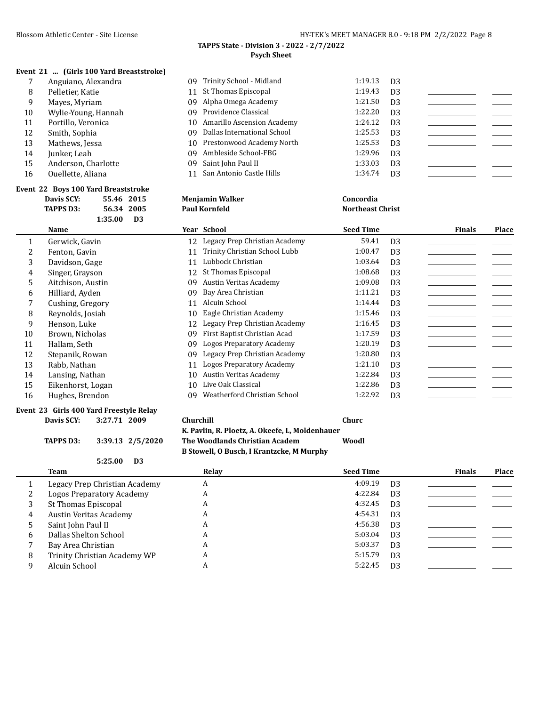#### **TAPPS State - Division 3 - 2022 - 2/7/2022 Psych Sheet**

# **Event 21 ... (Girls 100 Yard Breaststroke)**

|    | Anguiano, Alexandra | 09 Trinity School - Midland    | 1:19.13 | D3             |  |
|----|---------------------|--------------------------------|---------|----------------|--|
| 8  | Pelletier, Katie    | 11 St Thomas Episcopal         | 1:19.43 | D <sub>3</sub> |  |
| 9  | Mayes, Myriam       | 09 Alpha Omega Academy         | 1:21.50 | D <sub>3</sub> |  |
| 10 | Wylie-Young, Hannah | 09 Providence Classical        | 1:22.20 | D <sub>3</sub> |  |
| 11 | Portillo, Veronica  | 10 Amarillo Ascension Academy  | 1:24.12 | D <sub>3</sub> |  |
| 12 | Smith, Sophia       | 09 Dallas International School | 1:25.53 | D3             |  |
| 13 | Mathews, Jessa      | 10 Prestonwood Academy North   | 1:25.53 | D <sub>3</sub> |  |
| 14 | Junker, Leah        | 09 Ambleside School-FBG        | 1:29.96 | D <sub>3</sub> |  |
| 15 | Anderson, Charlotte | 09 Saint John Paul II          | 1:33.03 | D <sub>3</sub> |  |
| 16 | Ouellette, Aliana   | 11 San Antonio Castle Hills    | 1:34.74 | D <sub>3</sub> |  |

|    | Event 22 Boys 100 Yard Breaststroke     |            |                |    |                               |                         |                |               |       |
|----|-----------------------------------------|------------|----------------|----|-------------------------------|-------------------------|----------------|---------------|-------|
|    | Davis SCY:                              | 55.46 2015 |                |    | <b>Menjamin Walker</b>        | Concordia               |                |               |       |
|    | <b>TAPPS D3:</b>                        | 56.34 2005 |                |    | <b>Paul Kornfeld</b>          | <b>Northeast Christ</b> |                |               |       |
|    |                                         | 1:35.00    | D <sub>3</sub> |    |                               |                         |                |               |       |
|    | Name                                    |            |                |    | Year School                   | <b>Seed Time</b>        |                | <b>Finals</b> | Place |
| 1  | Gerwick, Gavin                          |            |                | 12 | Legacy Prep Christian Academy | 59.41                   | D <sub>3</sub> |               |       |
| 2  | Fenton, Gavin                           |            |                | 11 | Trinity Christian School Lubb | 1:00.47                 | D <sub>3</sub> |               |       |
| 3  | Davidson, Gage                          |            |                | 11 | Lubbock Christian             | 1:03.64                 | D <sub>3</sub> |               |       |
| 4  | Singer, Grayson                         |            |                | 12 | St Thomas Episcopal           | 1:08.68                 | D <sub>3</sub> |               |       |
| 5  | Aitchison, Austin                       |            |                | 09 | <b>Austin Veritas Academy</b> | 1:09.08                 | D <sub>3</sub> |               |       |
| 6  | Hilliard, Ayden                         |            |                | 09 | Bay Area Christian            | 1:11.21                 | D <sub>3</sub> |               |       |
| 7  | Cushing, Gregory                        |            |                | 11 | Alcuin School                 | 1:14.44                 | D <sub>3</sub> |               |       |
| 8  | Reynolds, Josiah                        |            |                | 10 | Eagle Christian Academy       | 1:15.46                 | D <sub>3</sub> |               |       |
| 9  | Henson, Luke                            |            |                | 12 | Legacy Prep Christian Academy | 1:16.45                 | D <sub>3</sub> |               |       |
| 10 | Brown, Nicholas                         |            |                | 09 | First Baptist Christian Acad  | 1:17.59                 | D <sub>3</sub> |               |       |
| 11 | Hallam, Seth                            |            |                | 09 | Logos Preparatory Academy     | 1:20.19                 | D <sub>3</sub> |               |       |
| 12 | Stepanik, Rowan                         |            |                | 09 | Legacy Prep Christian Academy | 1:20.80                 | D <sub>3</sub> |               |       |
| 13 | Rabb, Nathan                            |            |                | 11 | Logos Preparatory Academy     | 1:21.10                 | D <sub>3</sub> |               |       |
| 14 | Lansing, Nathan                         |            |                | 10 | <b>Austin Veritas Academy</b> | 1:22.84                 | D <sub>3</sub> |               |       |
| 15 | Eikenhorst, Logan                       |            |                | 10 | Live Oak Classical            | 1:22.86                 | D <sub>3</sub> |               |       |
| 16 | Hughes, Brendon                         |            |                | 09 | Weatherford Christian School  | 1:22.92                 | D <sub>3</sub> |               |       |
|    | Event 23 Girls 400 Yard Freestyle Relay |            |                |    |                               |                         |                |               |       |

# **Davis SCY: 3:27.71 2009 Churchill Churc**

**TAPPS D3: 3:39.13 2/5/2020 The Woodlands Christian Academ Woodl B Stowell, O Busch, I Krantzcke, M Murphy**

**K. Pavlin, R. Ploetz, A. Okeefe, L, Moldenhauer**

|    | 5:25.00<br>D <sub>3</sub>     |       |                  |                |               |              |
|----|-------------------------------|-------|------------------|----------------|---------------|--------------|
|    | Team                          | Relay | <b>Seed Time</b> |                | <b>Finals</b> | <b>Place</b> |
|    | Legacy Prep Christian Academy | A     | 4:09.19          | D <sub>3</sub> |               |              |
|    | Logos Preparatory Academy     | A     | 4:22.84          | D <sub>3</sub> |               |              |
|    | St Thomas Episcopal           | A     | 4:32.45          | D <sub>3</sub> |               |              |
| 4  | Austin Veritas Academy        | A     | 4:54.31          | D <sub>3</sub> |               |              |
| 5. | Saint John Paul II            | A     | 4:56.38          | D <sub>3</sub> |               |              |
| 6  | Dallas Shelton School         | A     | 5:03.04          | D <sub>3</sub> |               |              |
|    | Bay Area Christian            | A     | 5:03.37          | D <sub>3</sub> |               |              |
| 8  | Trinity Christian Academy WP  | A     | 5:15.79          | D <sub>3</sub> |               |              |
|    | Alcuin School                 | A     | 5:22.45          | D <sub>3</sub> |               |              |